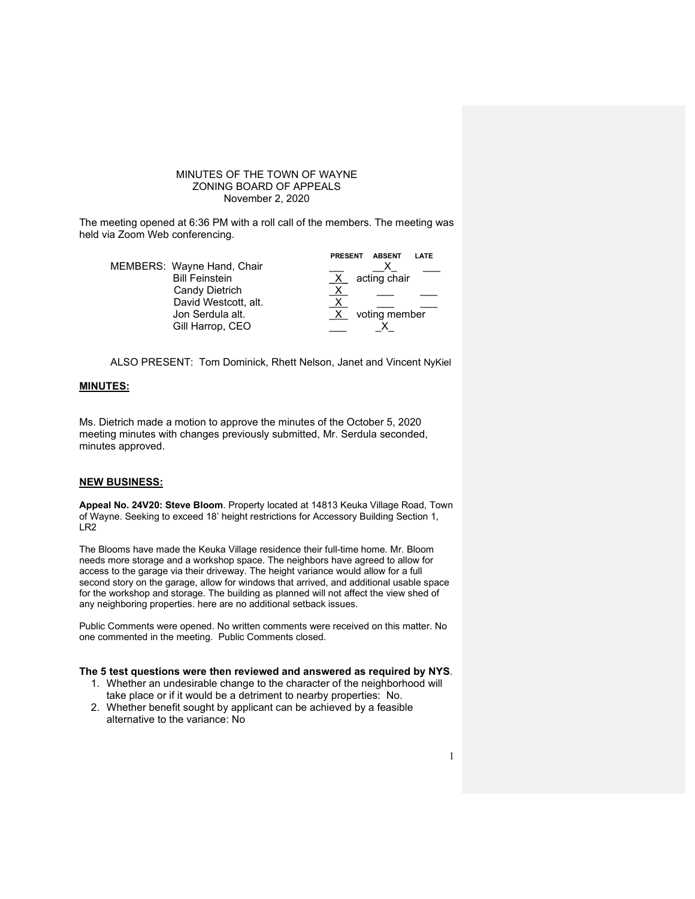## MINUTES OF THE TOWN OF WAYNE ZONING BOARD OF APPEALS November 2, 2020

The meeting opened at 6:36 PM with a roll call of the members. The meeting was held via Zoom Web conferencing.

|                            | <b>ABSENT</b><br><b>PRESENT</b><br>LATE |
|----------------------------|-----------------------------------------|
| MEMBERS: Wayne Hand, Chair |                                         |
| <b>Bill Feinstein</b>      | acting chair                            |
| Candy Dietrich             |                                         |
| David Westcott, alt.       |                                         |
| Jon Serdula alt.           | voting member                           |
| Gill Harrop, CEO           |                                         |

ALSO PRESENT: Tom Dominick, Rhett Nelson, Janet and Vincent NyKiel

#### **MINUTES:**

Ms. Dietrich made a motion to approve the minutes of the October 5, 2020 meeting minutes with changes previously submitted, Mr. Serdula seconded, minutes approved.

#### **NEW BUSINESS:**

**Appeal No. 24V20: Steve Bloom**. Property located at 14813 Keuka Village Road, Town of Wayne. Seeking to exceed 18' height restrictions for Accessory Building Section 1, LR2

The Blooms have made the Keuka Village residence their full-time home. Mr. Bloom needs more storage and a workshop space. The neighbors have agreed to allow for access to the garage via their driveway. The height variance would allow for a full second story on the garage, allow for windows that arrived, and additional usable space for the workshop and storage. The building as planned will not affect the view shed of any neighboring properties. here are no additional setback issues.

Public Comments were opened. No written comments were received on this matter. No one commented in the meeting. Public Comments closed.

#### **The 5 test questions were then reviewed and answered as required by NYS**.

- 1. Whether an undesirable change to the character of the neighborhood will take place or if it would be a detriment to nearby properties: No.
- 2. Whether benefit sought by applicant can be achieved by a feasible alternative to the variance: No